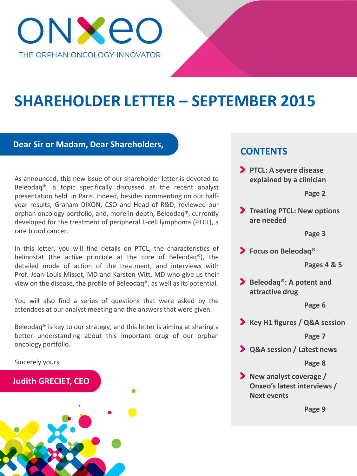

# **SHAREHOLDER LETTER – SEPTEMBER 2015**

### **Dear Sir or Madam, Dear Shareholders,**

As announced, this new issue of our shareholder letter is devoted to Beleodaq®, a topic specifically discussed at the recent analyst presentation held in Paris. Indeed, besides commenting on our halfyear results, Graham DIXON, CSO and Head of R&D, reviewed our orphan oncology portfolio, and, more in-depth, Beleodaq®, currently developed for the treatment of peripheral T-cell lymphoma (PTCL), a rare blood cancer.

In this letter, you will find details on PTCL, the characteristics of belinostat (the active principle at the core of Beleodaq®), the detailed mode of action of the treatment, and interviews with Prof. Jean-Louis Misset, MD and Karsten Witt, MD who give us their view on the disease, the profile of Beleodaq®, as well as its potential.

You will also find a series of questions that were asked by the attendees at our analyst meeting and the answers that were given.

Beleodaq® is key to our strategy, and this letter is aiming at sharing a better understanding about this important drug of our orphan oncology portfolio.

Sincerely yours

### **Judith GRECIET, CEO**



# **CONTENTS**

**PTCL: A severe disease explained by a clinician**

#### **Page 2**

**Treating PTCL: New options are needed**

#### **Page 3**

**Focus on Beleodaq®**

#### **Pages 4 & 5**

**Beleodaq®: A potent and attractive drug**

#### **Page 6**

**Key H1 figures / Q&A session**

**Page 7**

**Q&A session / Latest news**

#### **Page 8**

**New analyst coverage / Onxeo's latest interviews / Next events**

**Page 9**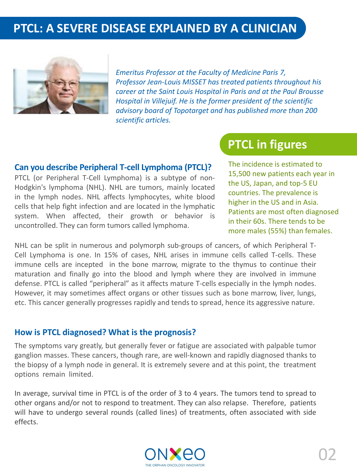# **PTCL: A SEVERE DISEASE EXPLAINED BY A CLINICIAN**



*Emeritus Professor at the Faculty of Medicine Paris 7, Professor Jean-Louis MISSET has treated patients throughout his career at the Saint Louis Hospital in Paris and at the Paul Brousse Hospital in Villejuif. He is the former president of the scientific advisory board of Topotarget and has published more than 200 scientific articles.*

### **Can you describe Peripheral T-cell Lymphoma (PTCL)?**

PTCL (or Peripheral T-Cell Lymphoma) is a subtype of non-Hodgkin's lymphoma (NHL). NHL are tumors, mainly located in the lymph nodes. NHL affects lymphocytes, white blood cells that help fight infection and are located in the lymphatic system. When affected, their growth or behavior is uncontrolled. They can form tumors called lymphoma.

# **PTCL in figures PTCL in figures**

The incidence is estimated to 15,500 new patients each year in the US, Japan, and top-5 EU countries. The prevalence is higher in the US and in Asia. Patients are most often diagnosed in their 60s. There tends to be more males (55%) than females.

NHL can be split in numerous and polymorph sub-groups of cancers, of which Peripheral T-Cell Lymphoma is one. In 15% of cases, NHL arises in immune cells called T-cells. These immune cells are incepted in the bone marrow, migrate to the thymus to continue their maturation and finally go into the blood and lymph where they are involved in immune defense. PTCL is called "peripheral" as it affects mature T-cells especially in the lymph nodes. However, it may sometimes affect organs or other tissues such as bone marrow, liver, lungs, etc. This cancer generally progresses rapidly and tends to spread, hence its aggressive nature.

### **How is PTCL diagnosed? What is the prognosis?**

The symptoms vary greatly, but generally fever or fatigue are associated with palpable tumor ganglion masses. These cancers, though rare, are well-known and rapidly diagnosed thanks to the biopsy of a lymph node in general. It is extremely severe and at this point, the treatment options remain limited.

In average, survival time in PTCL is of the order of 3 to 4 years. The tumors tend to spread to other organs and/or not to respond to treatment. They can also relapse. Therefore, patients will have to undergo several rounds (called lines) of treatments, often associated with side effects.

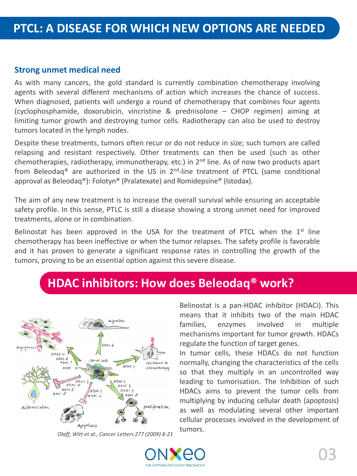### **Strong unmet medical need**

As with many cancers, the gold standard is currently combination chemotherapy involving agents with several different mechanisms of action which increases the chance of success. When diagnosed, patients will undergo a round of chemotherapy that combines four agents (cyclophosphamide, doxorubicin, vincristine & prednisolone – CHOP regimen) aiming at limiting tumor growth and destroying tumor cells. Radiotherapy can also be used to destroy tumors located in the lymph nodes.

Despite these treatments, tumors often recur or do not reduce in size; such tumors are called relapsing and resistant respectively. Other treatments can then be used (such as other chemotherapies, radiotherapy, immunotherapy, etc.) in 2<sup>nd</sup> line. As of now two products apart from Beleodaq<sup>®</sup> are authorized in the US in  $2^{nd}$ -line treatment of PTCL (same conditional approval as Beleodaq®): Folotyn® (Pralatexate) and Romidepsine® (Istodax).

The aim of any new treatment is to increase the overall survival while ensuring an acceptable safety profile. In this sense, PTLC is still a disease showing a strong unmet need for improved treatments, alone or in combination.

Belinostat has been approved in the USA for the treatment of PTCL when the  $1<sup>st</sup>$  line chemotherapy has been ineffective or when the tumor relapses. The safety profile is favorable and it has proven to generate a significant response rates in controlling the growth of the tumors, proving to be an essential option against this severe disease.

# **HDAC inhibitors: How does Beleodaq® work?**



*Olaff, Witt et al., Cancer Letters 277 (2009) 8-21*

Belinostat is a pan-HDAC inhibitor (HDACi). This means that it inhibits two of the main HDAC families, enzymes involved in multiple mechanisms important for tumor growth. HDACs regulate the function of target genes.

In tumor cells, these HDACs do not function normally, changing the characteristics of the cells so that they multiply in an uncontrolled way leading to tumorisation. The Inhibition of such HDACs aims to prevent the tumor cells from multiplying by inducing cellular death (apoptosis) as well as modulating several other important cellular processes involved in the development of tumors.

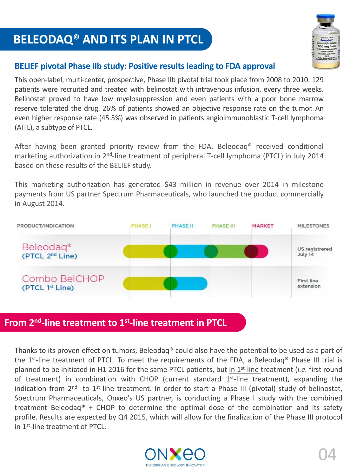# **BELEODAQ® AND ITS PLAN IN PTCL**



### **BELIEF pivotal Phase IIb study: Positive results leading to FDA approval**

This open-label, multi-center, prospective, Phase IIb pivotal trial took place from 2008 to 2010. 129 patients were recruited and treated with belinostat with intravenous infusion, every three weeks. Belinostat proved to have low myelosuppression and even patients with a poor bone marrow reserve tolerated the drug. 26% of patients showed an objective response rate on the tumor. An even higher response rate (45.5%) was observed in patients angioimmunoblastic T-cell lymphoma (AITL), a subtype of PTCL.

After having been granted priority review from the FDA, Beleodaq® received conditional marketing authorization in 2<sup>nd</sup>-line treatment of peripheral T-cell lymphoma (PTCL) in July 2014 based on these results of the BELIEF study.

This marketing authorization has generated \$43 million in revenue over 2014 in milestone payments from US partner Spectrum Pharmaceuticals, who launched the product commercially in August 2014.



Thanks to its proven effect on tumors, Beleodaq® could also have the potential to be used as a part of the 1<sup>st</sup>-line treatment of PTCL. To meet the requirements of the FDA, a Beleodaq® Phase III trial is planned to be initiated in H1 2016 for the same PTCL patients, but in 1<sup>st</sup>-line treatment (*i.e.* first round of treatment) in combination with CHOP (current standard 1<sup>st</sup>-line treatment), expanding the indication from 2<sup>nd</sup>- to 1<sup>st</sup>-line treatment. In order to start a Phase III (pivotal) study of belinostat, Spectrum Pharmaceuticals, Onxeo's US partner, is conducting a Phase I study with the combined treatment Beleodaq<sup>®</sup> + CHOP to determine the optimal dose of the combination and its safety profile. Results are expected by Q4 2015, which will allow for the finalization of the Phase III protocol in 1<sup>st</sup>-line treatment of PTCL.

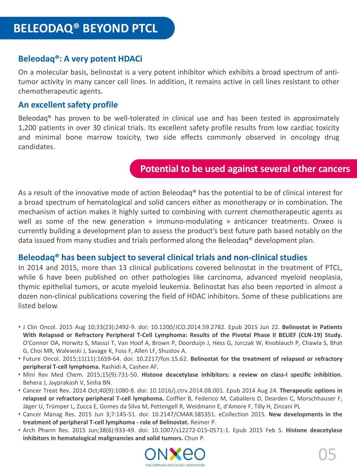# **Beleodaq®: A very potent HDACi**

On a molecular basis, belinostat is a very potent inhibitor which exhibits a broad spectrum of antitumor activity in many cancer cell lines. In addition, it remains active in cell lines resistant to other chemotherapeutic agents.

### **An** excellent safety profile

Beleodaq® has proven to be well-tolerated in clinical use and has been tested in approximately 1,200 patients in over 30 clinical trials. Its excellent safety profile results from low cardiac toxicity and minimal bone marrow toxicity, two side effects commonly observed in oncology drug candidates.

# **Potential to be used against several other cancers**

As a result of the innovative mode of action Beleodaq® has the potential to be of clinical interest for a broad spectrum of hematological and solid cancers either as monotherapy or in combination. The mechanism of action makes it highly suited to combining with current chemotherapeutic agents as well as some of the new generation « immuno-modulating » anticancer treatments. Onxeo is currently building a development plan to assess the product's best future path based notably on the data issued from many studies and trials performed along the Beleodaq® development plan.

### **Beleodaq® has been subject to several clinical trials and non-clinicalstudies**

In 2014 and 2015, more than 13 clinical publications covered belinostat in the treatment of PTCL, while 6 have been published on other pathologies like carcinoma, advanced myeloid neoplasia, thymic epithelial tumors, or acute myeloid leukemia. Belinostat has also been reported in almost a dozen non-clinical publications covering the field of HDAC inhibitors. Some of these publications are listed below.

- J Clin Oncol. 2015 Aug 10;33(23):2492-9. doi: 10.1200/JCO.2014.59.2782. Epub 2015 Jun 22. **Belinostat in Patients With Relapsed or Refractory Peripheral T-Cell Lymphoma: Results of the Pivotal Phase II BELIEF (CLN-19) Study.** O'Connor OA, Horwitz S, Masszi T, Van Hoof A, Brown P, Doorduijn J, Hess G, Jurczak W, Knoblauch P, Chawla S, Bhat G, Choi MR, Walewski J, Savage K, Foss F, Allen LF, Shustov A.
- Future Oncol. 2015;11(11):1659-64. doi: 10.2217/fon.15.62. **Belinostat for the treatment of relapsed or refractory peripheral T-cell lymphoma.** Rashidi A, Cashen AF.
- Mini Rev Med Chem. 2015;15(9):731-50. **Histone deacetylase inhibitors: a review on class-I specific inhibition.** Behera J, Jayprakash V, Sinha BN.
- Cancer Treat Rev. 2014 Oct;40(9):1080-8. doi: 10.1016/j.ctrv.2014.08.001. Epub 2014 Aug 24. **Therapeutic options in relapsed or refractory peripheral T-cell lymphoma.** Coiffier B, Federico M, Caballero D, Dearden C, Morschhauser F, Jäger U, Trümper L, Zucca E, Gomes da Silva M, Pettengell R, Weidmann E, d'Amore F, Tilly H, Zinzani PL
- Cancer Manag Res. 2015 Jun 3;7:145-51. doi: 10.2147/CMAR.S85351. eCollection 2015. **New developments in the treatment of peripheral T-cell lymphoma - role of Belinostat.** Reimer P.
- Arch Pharm Res. 2015 Jun;38(6):933-49. doi: 10.1007/s12272-015-0571-1. Epub 2015 Feb 5. **Histone deacetylase inhibitors in hematological malignancies and solid tumors.** Chun P.

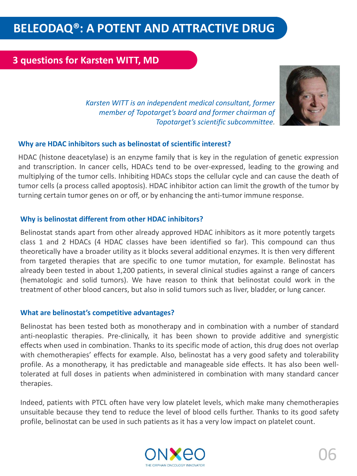# **BELEODAQ®: A POTENT AND ATTRACTIVE DRUG**

# **3 questions for Karsten WITT, MD**



*Karsten WITT is an independent medical consultant, former member of Topotarget's board and former chairman of Topotarget's scientific subcommittee.*

#### **Why are HDAC inhibitors such as belinostat of scientific interest?**

HDAC (histone deacetylase) is an enzyme family that is key in the regulation of genetic expression and transcription. In cancer cells, HDACs tend to be over-expressed, leading to the growing and multiplying of the tumor cells. Inhibiting HDACs stops the cellular cycle and can cause the death of tumor cells (a process called apoptosis). HDAC inhibitor action can limit the growth of the tumor by turning certain tumor genes on or off, or by enhancing the anti-tumor immune response.

#### **Why is belinostat different from other HDAC inhibitors?**

Belinostat stands apart from other already approved HDAC inhibitors as it more potently targets class 1 and 2 HDACs (4 HDAC classes have been identified so far). This compound can thus theoretically have a broader utility as it blocks several additional enzymes. It is then very different from targeted therapies that are specific to one tumor mutation, for example. Belinostat has already been tested in about 1,200 patients, in several clinical studies against a range of cancers (hematologic and solid tumors). We have reason to think that belinostat could work in the treatment of other blood cancers, but also in solid tumors such as liver, bladder, or lung cancer.

#### **What are belinostat's competitive advantages?**

Belinostat has been tested both as monotherapy and in combination with a number of standard anti-neoplastic therapies. Pre-clinically, it has been shown to provide additive and synergistic effects when used in combination. Thanks to its specific mode of action, this drug does not overlap with chemotherapies' effects for example. Also, belinostat has a very good safety and tolerability profile. As a monotherapy, it has predictable and manageable side effects. It has also been welltolerated at full doses in patients when administered in combination with many standard cancer therapies.

Indeed, patients with PTCL often have very low platelet levels, which make many chemotherapies unsuitable because they tend to reduce the level of blood cells further. Thanks to its good safety profile, belinostat can be used in such patients as it has a very low impact on platelet count.

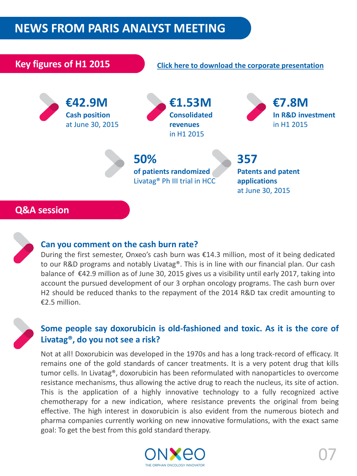# **NEWS FROM PARIS ANALYST MEETING**



### **Can you comment on the cash burn rate?**

During the first semester, Onxeo's cash burn was €14.3 million, most of it being dedicated to our R&D programs and notably Livatag®. This is in line with our financial plan. Our cash balance of €42.9 million as of June 30, 2015 gives us a visibility until early 2017, taking into account the pursued development of our 3 orphan oncology programs. The cash burn over H2 should be reduced thanks to the repayment of the 2014 R&D tax credit amounting to €2.5 million.

### **Some people say doxorubicin is old-fashioned and toxic. As it is the core of Livatag®, do you not see a risk?**

Not at all! Doxorubicin was developed in the 1970s and has a long track-record of efficacy. It remains one of the gold standards of cancer treatments. It is a very potent drug that kills tumor cells. In Livatag®, doxorubicin has been reformulated with nanoparticles to overcome resistance mechanisms, thus allowing the active drug to reach the nucleus, its site of action. This is the application of a highly innovative technology to a fully recognized active chemotherapy for a new indication, where resistance prevents the original from being effective. The high interest in doxorubicin is also evident from the numerous biotech and pharma companies currently working on new innovative formulations, with the exact same goal: To get the best from this gold standard therapy.

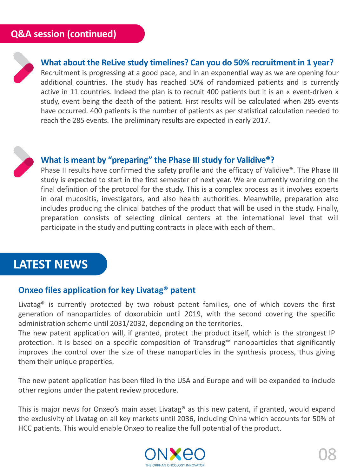

# **What about the ReLive study timelines? Can you do 50% recruitment in 1 year?**

Recruitment is progressing at a good pace, and in an exponential way as we are opening four additional countries. The study has reached 50% of randomized patients and is currently active in 11 countries. Indeed the plan is to recruit 400 patients but it is an « event-driven » study, event being the death of the patient. First results will be calculated when 285 events have occurred. 400 patients is the number of patients as per statistical calculation needed to reach the 285 events. The preliminary results are expected in early 2017.



### **What is meant by "preparing" the Phase III study for Validive®?**

Phase II results have confirmed the safety profile and the efficacy of Validive®. The Phase III study is expected to start in the first semester of next year. We are currently working on the final definition of the protocol for the study. This is a complex process as it involves experts in oral mucositis, investigators, and also health authorities. Meanwhile, preparation also includes producing the clinical batches of the product that will be used in the study. Finally, preparation consists of selecting clinical centers at the international level that will participate in the study and putting contracts in place with each of them.

# **LATEST NEWS**

### **Onxeo files application for key Livatag® patent**

Livatag<sup>®</sup> is currently protected by two robust patent families, one of which covers the first generation of nanoparticles of doxorubicin until 2019, with the second covering the specific administration scheme until 2031/2032, depending on the territories.

The new patent application will, if granted, protect the product itself, which is the strongest IP protection. It is based on a specific composition of Transdrug™ nanoparticles that significantly improves the control over the size of these nanoparticles in the synthesis process, thus giving them their unique properties.

The new patent application has been filed in the USA and Europe and will be expanded to include other regions under the patent review procedure.

This is major news for Onxeo's main asset Livatag<sup>®</sup> as this new patent, if granted, would expand the exclusivity of Livatag on all key markets until 2036, including China which accounts for 50% of HCC patients. This would enable Onxeo to realize the full potential of the product.